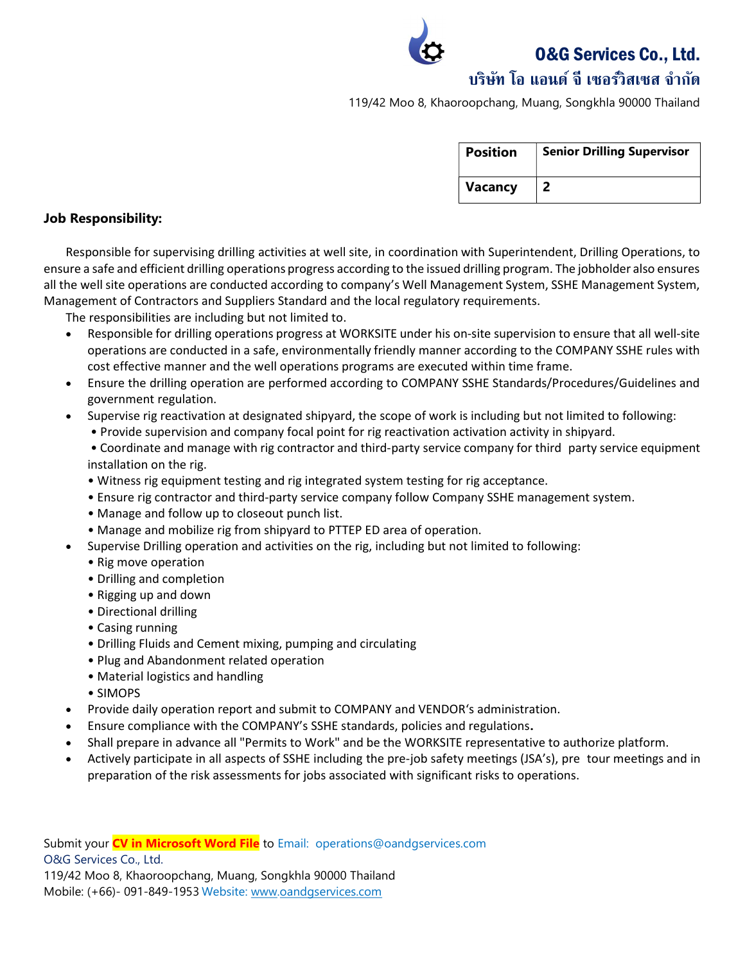O&G Services Co., Ltd.

## บริษทั โอ แอนด์จีเซอรว์ิสเซส จํากดั

119/42 Moo 8, Khaoroopchang, Muang, Songkhla 90000 Thailand

| <b>Position</b> | <b>Senior Drilling Supervisor</b> |
|-----------------|-----------------------------------|
| <b>Vacancy</b>  |                                   |

### Job Responsibility:

Responsible for supervising drilling activities at well site, in coordination with Superintendent, Drilling Operations, to ensure a safe and efficient drilling operations progress according to the issued drilling program. The jobholder also ensures all the well site operations are conducted according to company's Well Management System, SSHE Management System, Management of Contractors and Suppliers Standard and the local regulatory requirements.

The responsibilities are including but not limited to.

- Responsible for drilling operations progress at WORKSITE under his on-site supervision to ensure that all well-site operations are conducted in a safe, environmentally friendly manner according to the COMPANY SSHE rules with cost effective manner and the well operations programs are executed within time frame.
- Ensure the drilling operation are performed according to COMPANY SSHE Standards/Procedures/Guidelines and government regulation.
- Supervise rig reactivation at designated shipyard, the scope of work is including but not limited to following:
	- Provide supervision and company focal point for rig reactivation activation activity in shipyard.
	- Coordinate and manage with rig contractor and third-party service company for third party service equipment installation on the rig.
	- Witness rig equipment testing and rig integrated system testing for rig acceptance.
	- Ensure rig contractor and third-party service company follow Company SSHE management system.
	- Manage and follow up to closeout punch list.
	- Manage and mobilize rig from shipyard to PTTEP ED area of operation.
- Supervise Drilling operation and activities on the rig, including but not limited to following:
	- Rig move operation
	- Drilling and completion
	- Rigging up and down
	- Directional drilling
	- Casing running
	- Drilling Fluids and Cement mixing, pumping and circulating
	- Plug and Abandonment related operation
	- Material logistics and handling
	- SIMOPS
- Provide daily operation report and submit to COMPANY and VENDOR's administration.
- Ensure compliance with the COMPANY's SSHE standards, policies and regulations.
- Shall prepare in advance all "Permits to Work" and be the WORKSITE representative to authorize platform.
- Actively participate in all aspects of SSHE including the pre-job safety meetings (JSA's), pre tour meetings and in preparation of the risk assessments for jobs associated with significant risks to operations.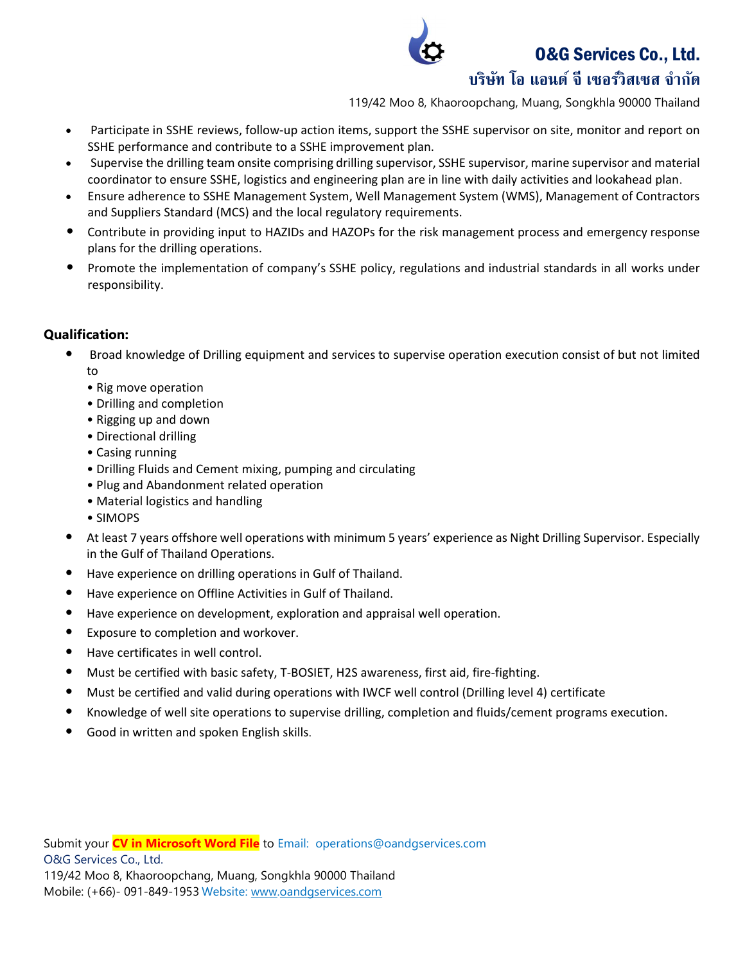## O&G Services Co., Ltd.



## บริษทั โอ แอนด์จีเซอรว์ิสเซส จํากดั

119/42 Moo 8, Khaoroopchang, Muang, Songkhla 90000 Thailand

- Participate in SSHE reviews, follow-up action items, support the SSHE supervisor on site, monitor and report on SSHE performance and contribute to a SSHE improvement plan.
- Supervise the drilling team onsite comprising drilling supervisor, SSHE supervisor, marine supervisor and material coordinator to ensure SSHE, logistics and engineering plan are in line with daily activities and lookahead plan.
- Ensure adherence to SSHE Management System, Well Management System (WMS), Management of Contractors and Suppliers Standard (MCS) and the local regulatory requirements.
- Contribute in providing input to HAZIDs and HAZOPs for the risk management process and emergency response plans for the drilling operations.
- Promote the implementation of company's SSHE policy, regulations and industrial standards in all works under responsibility.

## Qualification:

- Broad knowledge of Drilling equipment and services to supervise operation execution consist of but not limited to
	- Rig move operation
	- Drilling and completion
	- Rigging up and down
	- Directional drilling
	- Casing running
	- Drilling Fluids and Cement mixing, pumping and circulating
	- Plug and Abandonment related operation
	- Material logistics and handling
	- SIMOPS
- At least 7 years offshore well operations with minimum 5 years' experience as Night Drilling Supervisor. Especially in the Gulf of Thailand Operations.
- Have experience on drilling operations in Gulf of Thailand.
- Have experience on Offline Activities in Gulf of Thailand.
- Have experience on development, exploration and appraisal well operation.
- Exposure to completion and workover.
- Have certificates in well control.
- Must be certified with basic safety, T-BOSIET, H2S awareness, first aid, fire-fighting.
- Must be certified and valid during operations with IWCF well control (Drilling level 4) certificate
- Knowledge of well site operations to supervise drilling, completion and fluids/cement programs execution.
- Good in written and spoken English skills.